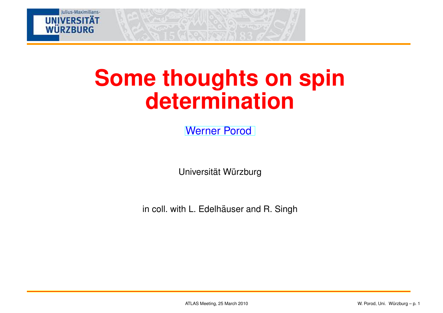

# **Some thoughts on spindetermination**

[Werner](http:///) Porod

Universität Würzburg

in coll. with L. Edelhäuser and R. Singh  $\;$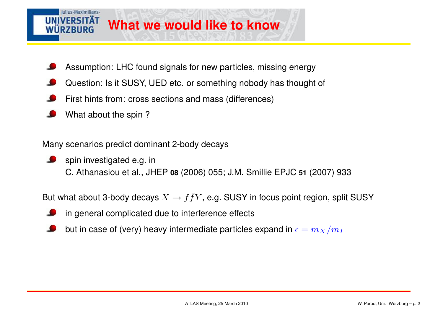#### Iulius-Maximilians-**IINIVERSITÄT What we would like to know**R7BURG

- Assumption: LHC found signals for new particles, missing energy
- Question: Is it SUSY, UED etc. or something nobody has thought of
- First hints from: cross sections and mass (differences)
- What about the spin ?

Many scenarios predict dominant 2-body decays

- spin investigated e.g. in
	- C. Athanasiou et al., JHEP **<sup>08</sup>** (2006) 055; J.M. Smillie EPJC **<sup>51</sup>** (2007) <sup>933</sup>

But what about 3-body decays  $X\rightarrow f\bar{f}Y$ , e.g. SUSY in focus point region, split SUSY

- in general complicated due to interference effects
- but in case of (very) heavy intermediate particles expand in  $\epsilon=m_X/m_I$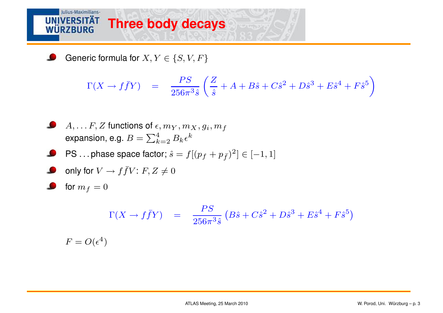### Julius-Maximilians-**UNIVERSITÄT Three body decaysWÜRZBURG**

Generic formula for  $X, Y \in \{S, V, F\}$ 

L

$$
\Gamma(X \to f\bar{f}Y) = \frac{PS}{256\pi^3 \hat{s}} \left(\frac{Z}{\hat{s}} + A + B\hat{s} + C\hat{s}^2 + D\hat{s}^3 + E\hat{s}^4 + F\hat{s}^5\right)
$$

\n- \n
$$
A, \ldots F, Z
$$
 functions of  $\epsilon, m_Y, m_X, g_i, m_f$  expansion, e.g.  $B = \sum_{k=2}^{4} B_k \epsilon^k$ \n
\n- \n PS... phase space factor;  $\hat{s} = f[(p_f + p_{\bar{f}})^2] \in [-1, 1]$ \n
\n- \n only for  $V \rightarrow f \bar{f} V$ :  $F, Z \neq 0$ \n
\n- \n for  $m_f = 0$ \n
\n

$$
\Gamma(X \to f\bar{f}Y) = \frac{PS}{256\pi^3 \hat{s}} (B\hat{s} + C\hat{s}^2 + D\hat{s}^3 + E\hat{s}^4 + F\hat{s}^5)
$$
  

$$
F = O(\epsilon^4)
$$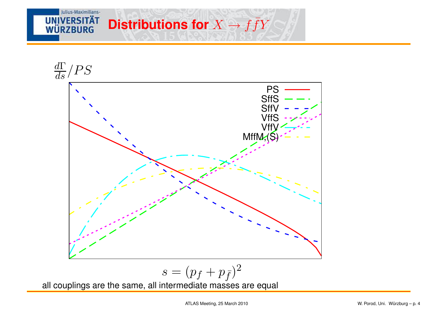### Julius-Maximilians-**UNIVERSITÄT Distributions for**  $X \rightarrow f\bar{f}Y$ **WÜRZBURG**



$$
s = (p_f + p_{\bar{f}})^2
$$

all couplings are the same, all intermediate masses are equal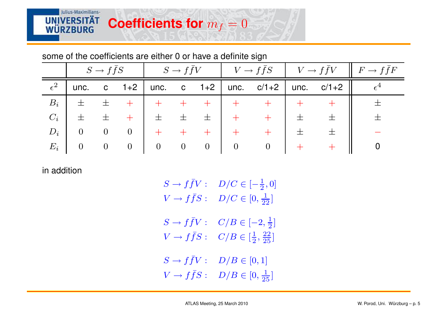some of the coefficients are either 0 or have <sup>a</sup> definite sign

|              |                |                | $S \to f \bar{f} S$ $\begin{array}{c c c c c} \hline S & \to f \bar{f} V & \hline \end{array}$ $V \to f \bar{f} S$ $V \to f \bar{f} V$ $\begin{array}{c c c} \hline \end{array}$ $F \to f \bar{f} F$ |                |       |                                        |                |                                          |  |                                              |  |
|--------------|----------------|----------------|------------------------------------------------------------------------------------------------------------------------------------------------------------------------------------------------------|----------------|-------|----------------------------------------|----------------|------------------------------------------|--|----------------------------------------------|--|
| $\epsilon^2$ | unc.           |                |                                                                                                                                                                                                      |                |       |                                        |                |                                          |  | c 1+2   unc. c 1+2   unc. c/1+2   unc. c/1+2 |  |
| $B_i$        | 一土             | $\pm$          |                                                                                                                                                                                                      |                |       |                                        |                |                                          |  |                                              |  |
| $C_i$        | 士              | $\pm$          |                                                                                                                                                                                                      | 士              | $\pm$ | $\pm$ 1                                |                |                                          |  |                                              |  |
| $D_i$        | $\overline{0}$ | $\overline{0}$ | $\overline{0}$                                                                                                                                                                                       |                |       |                                        |                |                                          |  |                                              |  |
| $E_i$        | $\overline{0}$ | $0\qquad 0$    |                                                                                                                                                                                                      | $\overline{0}$ |       | $\begin{array}{ccc} 0 & 0 \end{array}$ | $\overline{0}$ | $\begin{array}{ccc} & & 0 & \end{array}$ |  | $+$                                          |  |

in addition

| $S \to f \bar f V$ : | $D/C\in[-\frac{1}{2},0]$              |
|----------------------|---------------------------------------|
| $V \to f\bar{f}S$ :  | $D/C \in [0, \frac{1}{22}]$           |
| $S \to f \bar f V$ : | $C/B \in [-2, \frac{1}{2}]$           |
| $V \to f\bar{f}S$ :  | $C/B \in [\frac{1}{2},\frac{22}{25}]$ |
| $S \to f \bar f V$ : | $D/B\in[0,1]$                         |
| $V \to f\bar{f}S$ :  | $D/B \in [0, \frac{1}{25}]$           |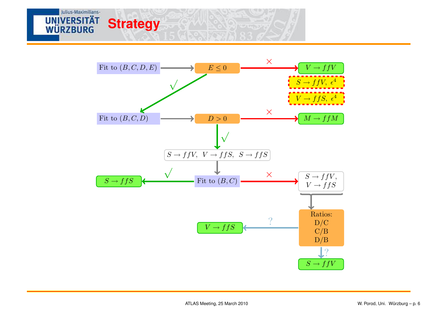

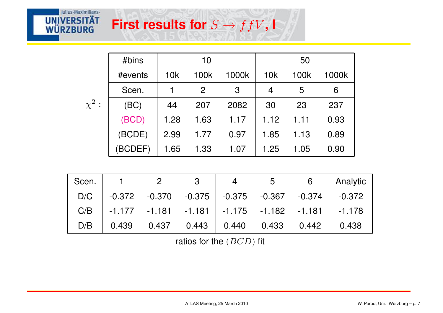## $\boldsymbol{\mathsf{First}}$  **results for**  $S \to$  $\rightarrow$   $f\bar{f}V$ ,  $\blacksquare$

Julius-Maximilians-

**UNIVERSITÄT**<br>WÜRZBURG

|            | #bins   | 10   |                |       | 50   |      |       |
|------------|---------|------|----------------|-------|------|------|-------|
|            | #events | 10k  | 100k           | 1000k | 10k  | 100k | 1000k |
|            | Scen.   |      | $\overline{2}$ | 3     | 4    | 5    | 6     |
| $\chi^2$ : | (BC)    | 44   | 207            | 2082  | 30   | 23   | 237   |
|            | (BCD)   | 1.28 | 1.63           | 1.17  | 1.12 | 1.11 | 0.93  |
|            | (BCDE)  | 2.99 | 1.77           | 0.97  | 1.85 | 1.13 | 0.89  |
|            | (BCDEF) | 1.65 | 1.33           | 1.07  | 1.25 | 1.05 | 0.90  |

| Scen. | $1 \t 2$                                                     | $\overline{\mathbf{3}}$ | 5 | $6\overline{6}$ | Analytic |
|-------|--------------------------------------------------------------|-------------------------|---|-----------------|----------|
|       | $D/C$   -0.372 -0.370 -0.375   -0.375 -0.367 -0.374   -0.372 |                         |   |                 |          |
|       | $C/B$   -1.177 -1.181 -1.181   -1.175 -1.182 -1.181   -1.178 |                         |   |                 |          |
|       | $D/B$ 0.439 0.437 0.443 0.440 0.433 0.442 0.438              |                         |   |                 |          |

ratios for the  $(BCD)$  fit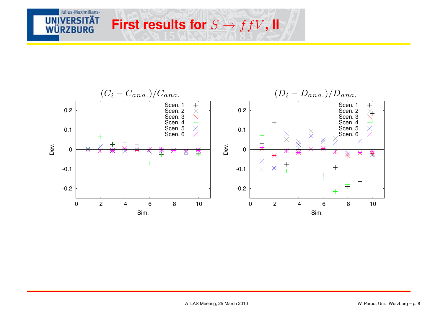

 $\rightarrow$   $f\bar{f}V$ , **II** 

 $\boldsymbol{\mathsf{First}}$  **results for**  $S \to$ 

Julius-Maximilians-

**UNIVERSITÄT** 

**WÜRZBURG**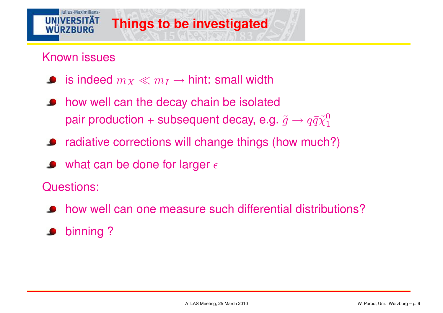### **UNIVERSITÄT Things to be investigated**WURZBURG

Known issues

Iulius-Maximilians-

- is indeed  $m_X\ll m_I\to$  hint: small width
- how well can the decay chain be isolated $\bullet$ pair production + subsequent decay, e.g.  $\tilde{g} \rightarrow q\bar{q}\tilde{\chi}^0_1$ 1
- radiative corrections will change things (how much?)
- what can be done for larger  $\epsilon$

Questions:

- how well can one measure such differential distributions?
- binning ?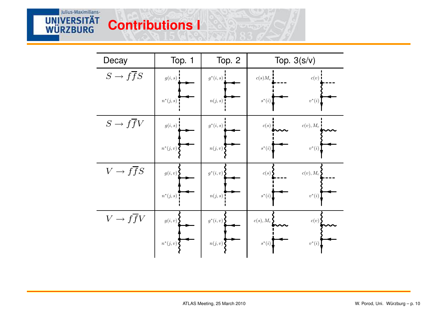## **Contributions <sup>I</sup>**

**UNIVERSITÄT** 

| Decay                    | Top. 1      | Top. 2       | Top. $3(s/v)$ |                |  |
|--------------------------|-------------|--------------|---------------|----------------|--|
| $S \to f \overline{f} S$ | g(i, s)     | $g^*(i,s)$ : | $c(s)M_c$     | c(v)           |  |
|                          | $n^*(j,s)$  | $n(j,s)$ .   | $s^*(i)$      | $v^*(i)$       |  |
| $S \to f \overline{f} V$ | g(i,s)      | $g^*(i,s)$   | c(s)          | $c(v), M_c$    |  |
|                          | $n^*(j, v)$ | n(j, v)      | $s^*(i)$      | $v^{\ast}(i)$  |  |
| $V \to ffS$              | g(i, v)     | $g^*(i, v)$  | c(s)          | $c(v)$ , $M_c$ |  |
|                          | $n^*(j,s)$  | n(j,s)       | $s^*(i)$      | $v^{\ast}(i)$  |  |
| $V \rightarrow f f V$    | g(i, v)     | $g^*(i, v)$  | $c(s), M_c$   | c(v)           |  |
|                          | $n^*(j, v)$ | n(j, v)      | $s^*(i)$      | $v^*(i)$       |  |

**BORLYWARDS**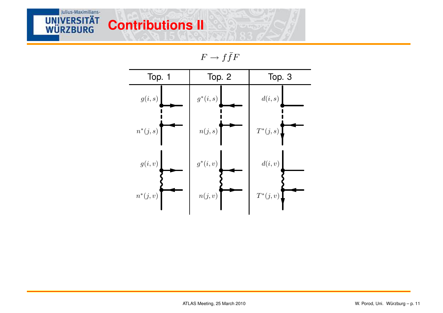## **Contributions II**

Julius-Maximilians-

**UNIVERSITÄT WÜRZBURG** 

 $F\to f\bar f F$